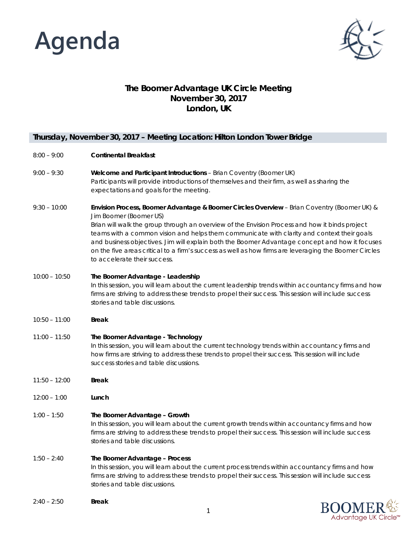



## **The Boomer Advantage UK Circle Meeting November 30, 2017 London, UK**

## **Thursday, November 30, 2017 – Meeting Location: Hilton London Tower Bridge**

### 8:00 – 9:00 **Continental Breakfast**

- 9:00 9:30 **Welcome and Participant Introductions** – Brian Coventry (Boomer UK) Participants will provide introductions of themselves and their firm, as well as sharing the expectations and goals for the meeting.
- 9:30 10:00 **Envision Process, Boomer Advantage & Boomer Circles Overview** – Brian Coventry (Boomer UK) & Jim Boomer (Boomer US) Brian will walk the group through an overview of the Envision Process and how it binds project teams with a common vision and helps them communicate with clarity and context their goals and business objectives. Jim will explain both the Boomer Advantage concept and how it focuses on the five areas critical to a firm's success as well as how firms are leveraging the Boomer Circles to accelerate their success.

## 10:00 – 10:50 **The Boomer Advantage - Leadership** In this session, you will learn about the current leadership trends within accountancy firms and how firms are striving to address these trends to propel their success. This session will include success stories and table discussions.

- 10:50 11:00 **Break**
- 11:00 11:50 **The Boomer Advantage - Technology** In this session, you will learn about the current technology trends within accountancy firms and how firms are striving to address these trends to propel their success. This session will include success stories and table discussions.
- 11:50 12:00 **Break**
- 12:00 1:00 **Lunch**

### 1:00 – 1:50 **The Boomer Advantage – Growth**

In this session, you will learn about the current growth trends within accountancy firms and how firms are striving to address these trends to propel their success. This session will include success stories and table discussions.

#### 1:50 – 2:40 **The Boomer Advantage – Process**

In this session, you will learn about the current process trends within accountancy firms and how firms are striving to address these trends to propel their success. This session will include success stories and table discussions.

2:40 – 2:50 **Break**